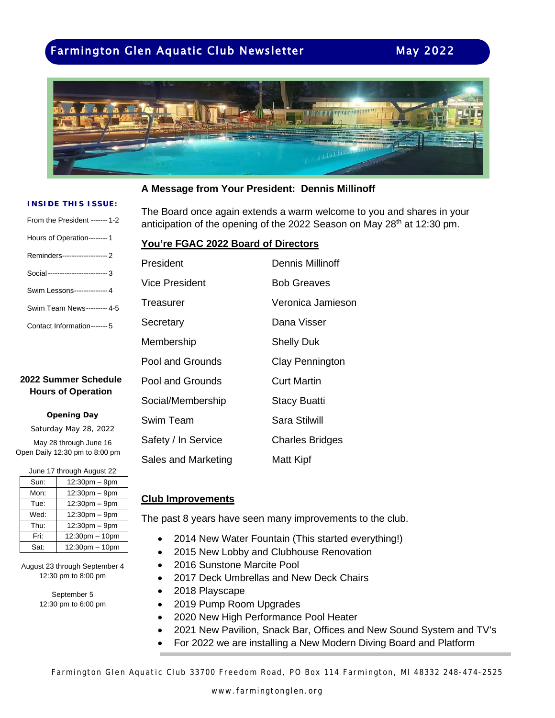# Farmington Glen Aquatic Club Newsletter May 2022



#### **A Message from Your President: Dennis Millinoff**

#### **INSIDE THIS ISSUE:**

| From the President ------- 1-2    |
|-----------------------------------|
| Hours of Operation--------1       |
| Reminders-------------------- 2   |
| Social--------------------------3 |
| Swim Lessons-------------- 4      |
| Swim Team News--------- 4-5       |
| Contact Information-------5       |

### **2022 Summer Schedule Hours of Operation**

#### **Opening Day**

Saturday May 28, 2022 May 28 through June 16 Open Daily 12:30 pm to 8:00 pm

| June 17 through August 22 |                     |  |  |  |
|---------------------------|---------------------|--|--|--|
| Sun:                      | 12:30pm - 9pm       |  |  |  |
| Mon:                      | 12:30pm - 9pm       |  |  |  |
| Tue:                      | 12:30pm - 9pm       |  |  |  |
| Wed:                      | $12:30pm - 9pm$     |  |  |  |
| Thu:                      | $12:30pm - 9pm$     |  |  |  |
| Fri:                      | $12:30$ pm $-10$ pm |  |  |  |
| Sat:                      | 12:30pm - 10pm      |  |  |  |

August 23 through September 4 12:30 pm to 8:00 pm

> September 5 12:30 pm to 6:00 pm

The Board once again extends a warm welcome to you and shares in your anticipation of the opening of the 2022 Season on May 28<sup>th</sup> at 12:30 pm.

#### **You're FGAC 2022 Board of Directors**

| President           | <b>Dennis Millinoff</b> |
|---------------------|-------------------------|
| Vice President      | <b>Bob Greaves</b>      |
| Treasurer           | Veronica Jamieson       |
| Secretary           | Dana Visser             |
| Membership          | <b>Shelly Duk</b>       |
| Pool and Grounds    | Clay Pennington         |
| Pool and Grounds    | <b>Curt Martin</b>      |
| Social/Membership   | <b>Stacy Buatti</b>     |
| Swim Team           | Sara Stilwill           |
| Safety / In Service | <b>Charles Bridges</b>  |
| Sales and Marketing | Matt Kipf               |

#### **Club Improvements**

The past 8 years have seen many improvements to the club.

- 2014 New Water Fountain (This started everything!)
- 2015 New Lobby and Clubhouse Renovation
- 2016 Sunstone Marcite Pool
- 2017 Deck Umbrellas and New Deck Chairs
- 2018 Playscape
- 2019 Pump Room Upgrades
- 2020 New High Performance Pool Heater
- 2021 New Pavilion, Snack Bar, Offices and New Sound System and TV's
- For 2022 we are installing a New Modern Diving Board and Platform

Farmington Glen Aquatic Club 33700 Freedom Road, PO Box 114 Farmington, MI 48332 248-474-2525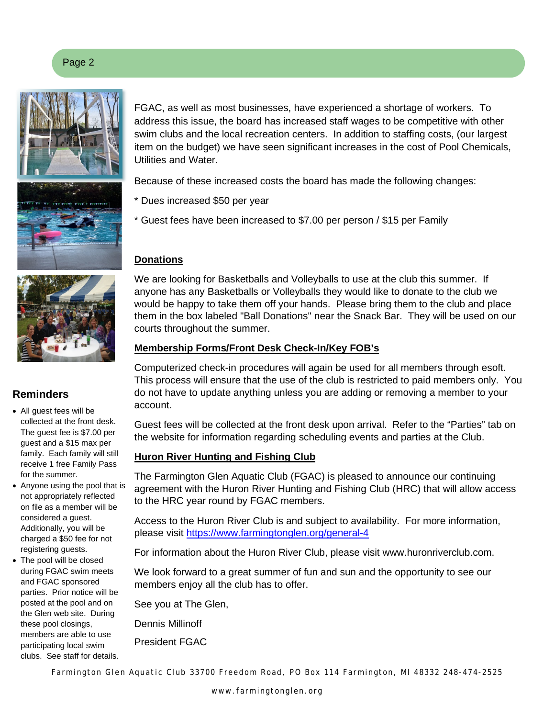



## **Reminders**

- All guest fees will be collected at the front desk. The guest fee is \$7.00 per guest and a \$15 max per family. Each family will still receive 1 free Family Pass for the summer.
- Anyone using the pool that is not appropriately reflected on file as a member will be considered a guest. Additionally, you will be charged a \$50 fee for not registering guests.
- The pool will be closed during FGAC swim meets and FGAC sponsored parties. Prior notice will be posted at the pool and on the Glen web site. During these pool closings, members are able to use participating local swim clubs. See staff for details.

FGAC, as well as most businesses, have experienced a shortage of workers. To address this issue, the board has increased staff wages to be competitive with other swim clubs and the local recreation centers. In addition to staffing costs, (our largest item on the budget) we have seen significant increases in the cost of Pool Chemicals, Utilities and Water.

Because of these increased costs the board has made the following changes:

- \* Dues increased \$50 per year
- \* Guest fees have been increased to \$7.00 per person / \$15 per Family

## **Donations**

We are looking for Basketballs and Volleyballs to use at the club this summer. If anyone has any Basketballs or Volleyballs they would like to donate to the club we would be happy to take them off your hands. Please bring them to the club and place them in the box labeled "Ball Donations" near the Snack Bar. They will be used on our courts throughout the summer.

## **Membership Forms/Front Desk Check-In/Key FOB's**

Computerized check-in procedures will again be used for all members through esoft. This process will ensure that the use of the club is restricted to paid members only. You do not have to update anything unless you are adding or removing a member to your account.

Guest fees will be collected at the front desk upon arrival. Refer to the "Parties" tab on the website for information regarding scheduling events and parties at the Club.

## **Huron River Hunting and Fishing Club**

The Farmington Glen Aquatic Club (FGAC) is pleased to announce our continuing agreement with the Huron River Hunting and Fishing Club (HRC) that will allow access to the HRC year round by FGAC members.

Access to the Huron River Club is and subject to availability. For more information, please visit<https://www.farmingtonglen.org/general-4>

For information about the Huron River Club, please visit www.huronriverclub.com.

We look forward to a great summer of fun and sun and the opportunity to see our members enjoy all the club has to offer.

See you at The Glen,

Dennis Millinoff

President FGAC

Farmington Glen Aquatic Club 33700 Freedom Road, PO Box 114 Farmington, MI 48332 248-474-2525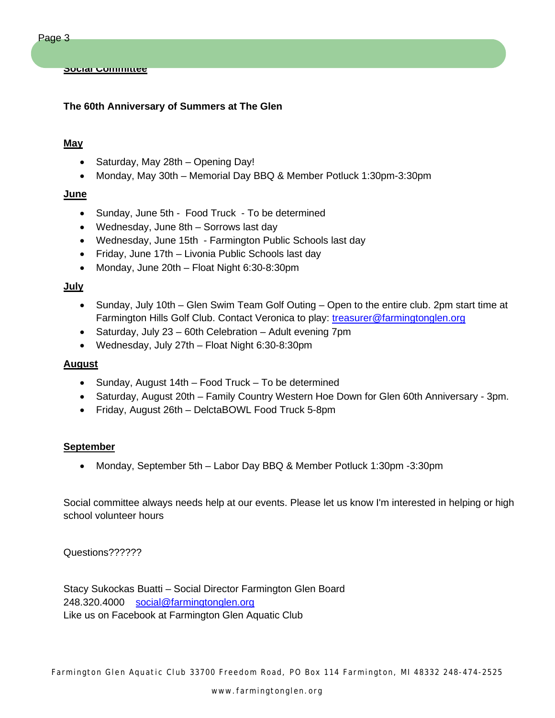#### **The 60th Anniversary of Summers at The Glen**

#### **May**

- Saturday, May 28th Opening Day!
- Monday, May 30th Memorial Day BBQ & Member Potluck 1:30pm-3:30pm

#### **June**

- Sunday, June 5th Food Truck To be determined
- Wednesday, June 8th Sorrows last day
- Wednesday, June 15th Farmington Public Schools last day
- Friday, June 17th Livonia Public Schools last day
- Monday, June 20th Float Night 6:30-8:30pm

#### **July**

- Sunday, July 10th Glen Swim Team Golf Outing Open to the entire club. 2pm start time at Farmington Hills Golf Club. Contact Veronica to play: [treasurer@farmingtonglen.org](mailto:treasurer@farmingtonglen.org)
- Saturday, July 23 60th Celebration Adult evening 7pm
- Wednesday, July 27th Float Night 6:30-8:30pm

#### **August**

- Sunday, August 14th Food Truck To be determined
- Saturday, August 20th Family Country Western Hoe Down for Glen 60th Anniversary 3pm.
- Friday, August 26th DelctaBOWL Food Truck 5-8pm

#### **September**

• Monday, September 5th – Labor Day BBQ & Member Potluck 1:30pm -3:30pm

Social committee always needs help at our events. Please let us know I'm interested in helping or high school volunteer hours

Questions??????

Stacy Sukockas Buatti – Social Director Farmington Glen Board 248.320.4000 [social@farmingtonglen.org](mailto:social@farmingtonglen.org) Like us on Facebook at Farmington Glen Aquatic Club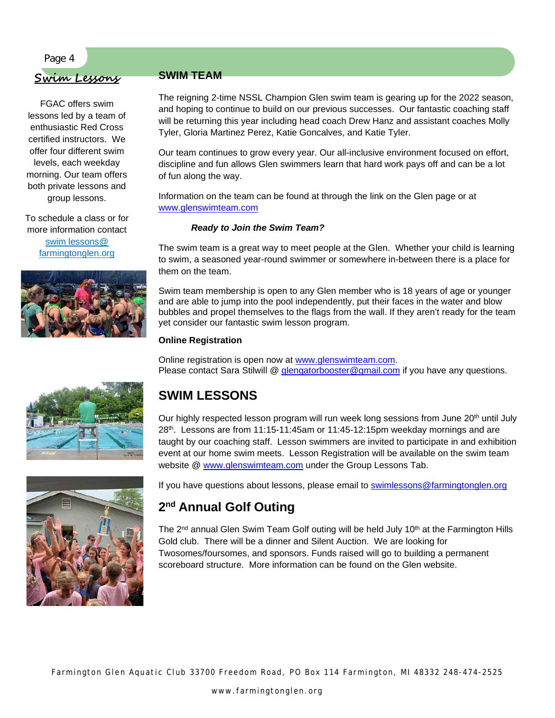#### Page 4

## **Swim Lessons**

FGAC offers swim lessons led by a team of enthusiastic Red Cross certified instructors. We offer four different swim levels, each weekday morning. Our team offers both private lessons and group lessons.

To schedule a class or for more information contact swim lessons@ farmingtonglen.org



## **SWIM TEAM**

The reigning 2-time NSSL Champion Glen swim team is gearing up for the 2022 season, and hoping to continue to build on our previous successes. Our fantastic coaching staff will be returning this year including head coach Drew Hanz and assistant coaches Molly Tyler, Gloria Martinez Perez, Katie Goncalves, and Katie Tyler.

Our team continues to grow every year. Our all-inclusive environment focused on effort, discipline and fun allows Glen swimmers learn that hard work pays off and can be a lot of fun along the way.

Information on the team can be found at through the link on the Glen page or at [www.glenswimteam.com](http://www.glenswimteam.com/)

#### *Ready to Join the Swim Team?*

The swim team is a great way to meet people at the Glen. Whether your child is learning to swim, a seasoned year-round swimmer or somewhere in-between there is a place for them on the team.

Swim team membership is open to any Glen member who is 18 years of age or younger and are able to jump into the pool independently, put their faces in the water and blow bubbles and propel themselves to the flags from the wall. If they aren't ready for the team yet consider our fantastic swim lesson program.

#### **Online Registration**

Online registration is open now at [www.glenswimteam.com.](http://www.glenswimteam.com/) Please contact Sara Stilwill @ [glengatorbooster@gmail.com](mailto:glengatorbooster@gmail.com) if you have any questions.



# **SWIM LESSONS**

Our highly respected lesson program will run week long sessions from June 20<sup>th</sup> until July 28th. Lessons are from 11:15-11:45am or 11:45-12:15pm weekday mornings and are taught by our coaching staff. Lesson swimmers are invited to participate in and exhibition event at our home swim meets. Lesson Registration will be available on the swim team website @ [www.glenswimteam.com](http://www.glenswimteam.com/) under the Group Lessons Tab.

If you have questions about lessons, please email to [swimlessons@farmingtonglen.org](mailto:swimlessons@farmingtonglen.org)

## **2nd Annual Golf Outing**

The  $2<sup>nd</sup>$  annual Glen Swim Team Golf outing will be held July 10<sup>th</sup> at the Farmington Hills Gold club. There will be a dinner and Silent Auction. We are looking for Twosomes/foursomes, and sponsors. Funds raised will go to building a permanent scoreboard structure. More information can be found on the Glen website.